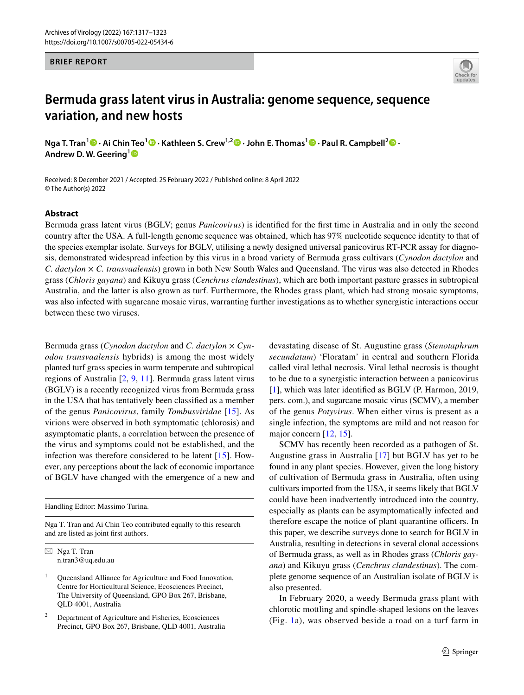## **BRIEF REPORT**



# **Bermuda grass latent virus in Australia: genome sequence, sequence variation, and new hosts**

**Nga T. Tran[1](http://orcid.org/0000-0002-8362-4016) · Ai Chin Teo<sup>1</sup> · Kathleen S. Crew1,2  [·](http://orcid.org/0000-0002-3035-4809) John E. Thomas1 · Paul R. Campbell2  [·](http://orcid.org/0000-0003-4464-314X) Andrew D. W. Geering[1](http://orcid.org/0000-0002-5743-6804)**

Received: 8 December 2021 / Accepted: 25 February 2022 / Published online: 8 April 2022 © The Author(s) 2022

## **Abstract**

Bermuda grass latent virus (BGLV; genus *Panicovirus*) is identifed for the frst time in Australia and in only the second country after the USA. A full-length genome sequence was obtained, which has 97% nucleotide sequence identity to that of the species exemplar isolate. Surveys for BGLV, utilising a newly designed universal panicovirus RT-PCR assay for diagnosis, demonstrated widespread infection by this virus in a broad variety of Bermuda grass cultivars (*Cynodon dactylon* and *C. dactylon* × *C. transvaalensis*) grown in both New South Wales and Queensland. The virus was also detected in Rhodes grass (*Chloris gayana*) and Kikuyu grass (*Cenchrus clandestinus*), which are both important pasture grasses in subtropical Australia, and the latter is also grown as turf. Furthermore, the Rhodes grass plant, which had strong mosaic symptoms, was also infected with sugarcane mosaic virus, warranting further investigations as to whether synergistic interactions occur between these two viruses.

Bermuda grass (*Cynodon dactylon* and *C. dactylon* × *Cynodon transvaalensis* hybrids) is among the most widely planted turf grass species in warm temperate and subtropical regions of Australia [[2,](#page-5-0) [9](#page-6-0), [11\]](#page-6-1). Bermuda grass latent virus (BGLV) is a recently recognized virus from Bermuda grass in the USA that has tentatively been classifed as a member of the genus *Panicovirus*, family *Tombusviridae* [\[15\]](#page-6-2). As virions were observed in both symptomatic (chlorosis) and asymptomatic plants, a correlation between the presence of the virus and symptoms could not be established, and the infection was therefore considered to be latent [\[15\]](#page-6-2). However, any perceptions about the lack of economic importance of BGLV have changed with the emergence of a new and

Handling Editor: Massimo Turina.

Nga T. Tran and Ai Chin Teo contributed equally to this research and are listed as joint frst authors.

 $\boxtimes$  Nga T. Tran n.tran3@uq.edu.au

<sup>1</sup> Queensland Alliance for Agriculture and Food Innovation, Centre for Horticultural Science, Ecosciences Precinct, The University of Queensland, GPO Box 267, Brisbane, QLD 4001, Australia

<sup>2</sup> Department of Agriculture and Fisheries, Ecosciences Precinct, GPO Box 267, Brisbane, QLD 4001, Australia devastating disease of St. Augustine grass (*Stenotaphrum secundatum*) 'Floratam' in central and southern Florida called viral lethal necrosis. Viral lethal necrosis is thought to be due to a synergistic interaction between a panicovirus [[1\]](#page-5-1), which was later identified as BGLV (P. Harmon, 2019, pers. com.), and sugarcane mosaic virus (SCMV), a member of the genus *Potyvirus*. When either virus is present as a single infection, the symptoms are mild and not reason for major concern [\[12](#page-6-3), [15](#page-6-2)].

SCMV has recently been recorded as a pathogen of St. Augustine grass in Australia [[17](#page-6-4)] but BGLV has yet to be found in any plant species. However, given the long history of cultivation of Bermuda grass in Australia, often using cultivars imported from the USA, it seems likely that BGLV could have been inadvertently introduced into the country, especially as plants can be asymptomatically infected and therefore escape the notice of plant quarantine officers. In this paper, we describe surveys done to search for BGLV in Australia, resulting in detections in several clonal accessions of Bermuda grass, as well as in Rhodes grass (*Chloris gayana*) and Kikuyu grass (*Cenchrus clandestinus*). The complete genome sequence of an Australian isolate of BGLV is also presented.

In February 2020, a weedy Bermuda grass plant with chlorotic mottling and spindle-shaped lesions on the leaves (Fig. [1](#page-1-0)a), was observed beside a road on a turf farm in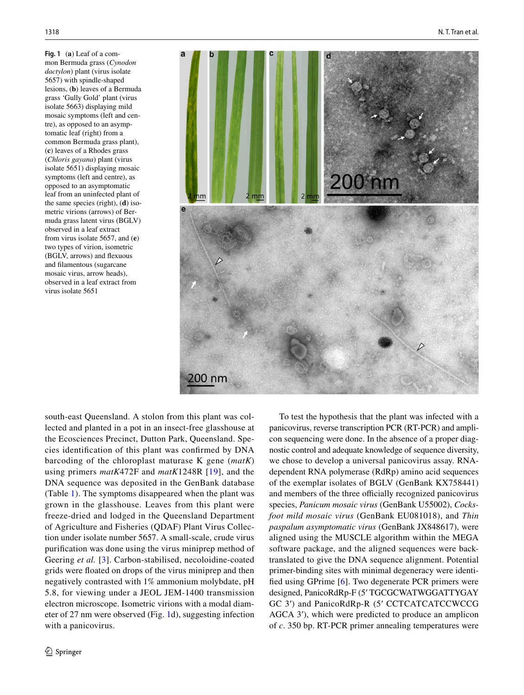<span id="page-1-0"></span>**Fig. 1** (**a**) Leaf of a common Bermuda grass (*Cynodon dactylon*) plant (virus isolate 5657) with spindle-shaped lesions, (**b**) leaves of a Bermuda grass 'Gully Gold' plant (virus isolate 5663) displaying mild mosaic symptoms (left and centre), as opposed to an asymptomatic leaf (right) from a common Bermuda grass plant), (**c**) leaves of a Rhodes grass (*Chloris gayana*) plant (virus isolate 5651) displaying mosaic symptoms (left and centre), as opposed to an asymptomatic leaf from an uninfected plant of the same species (right), (**d**) isometric virions (arrows) of Bermuda grass latent virus (BGLV) observed in a leaf extract from virus isolate 5657, and (**e**) two types of virion, isometric (BGLV, arrows) and fexuous and flamentous (sugarcane mosaic virus, arrow heads), observed in a leaf extract from virus isolate 5651



south-east Queensland. A stolon from this plant was collected and planted in a pot in an insect-free glasshouse at the Ecosciences Precinct, Dutton Park, Queensland. Species identifcation of this plant was confrmed by DNA barcoding of the chloroplast maturase K gene (*matK*) using primers *matK*472F and *matK*1248R [[19](#page-6-5)], and the DNA sequence was deposited in the GenBank database (Table [1\)](#page-2-0). The symptoms disappeared when the plant was grown in the glasshouse. Leaves from this plant were freeze-dried and lodged in the Queensland Department of Agriculture and Fisheries (QDAF) Plant Virus Collection under isolate number 5657. A small-scale, crude virus purifcation was done using the virus miniprep method of Geering *et al.* [[3\]](#page-5-2). Carbon-stabilised, necoloidine-coated grids were foated on drops of the virus miniprep and then negatively contrasted with 1% ammonium molybdate, pH 5.8, for viewing under a JEOL JEM-1400 transmission electron microscope. Isometric virions with a modal diameter of 27 nm were observed (Fig. [1d](#page-1-0)), suggesting infection with a panicovirus.

To test the hypothesis that the plant was infected with a panicovirus, reverse transcription PCR (RT-PCR) and amplicon sequencing were done. In the absence of a proper diagnostic control and adequate knowledge of sequence diversity, we chose to develop a universal panicovirus assay. RNAdependent RNA polymerase (RdRp) amino acid sequences of the exemplar isolates of BGLV (GenBank KX758441) and members of the three officially recognized panicovirus species, *Panicum mosaic virus* (GenBank U55002), *Cocksfoot mild mosaic virus* (GenBank EU081018), and *Thin paspalum asymptomatic virus* (GenBank JX848617), were aligned using the MUSCLE algorithm within the MEGA software package, and the aligned sequences were backtranslated to give the DNA sequence alignment. Potential primer-binding sites with minimal degeneracy were identifed using GPrime [\[6](#page-5-3)]. Two degenerate PCR primers were designed, PanicoRdRp-F (5ʹ TGCGCWATWGGATTYGAY GC 3ʹ) and PanicoRdRp-R (5ʹ CCTCATCATCCWCCG AGCA 3<sup>'</sup>), which were predicted to produce an amplicon of *c*. 350 bp. RT-PCR primer annealing temperatures were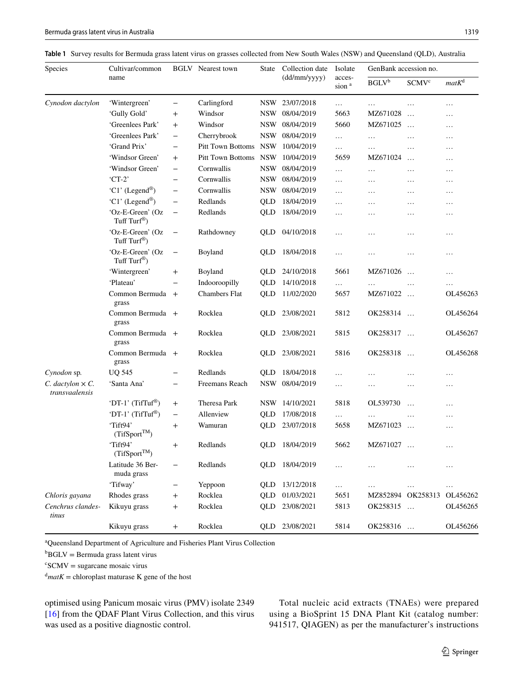<span id="page-2-0"></span>**Table 1** Survey results for Bermuda grass latent virus on grasses collected from New South Wales (NSW) and Queensland (QLD), Australia

| Species                                     | Cultivar/common<br>name                      |                          | <b>BGLV</b> Nearest town | State      | Collection date<br>$(dd/\text{mm/yyyy})$ | Isolate<br>acces-<br>sion <sup>a</sup> | GenBank accession no. |                         |          |
|---------------------------------------------|----------------------------------------------|--------------------------|--------------------------|------------|------------------------------------------|----------------------------------------|-----------------------|-------------------------|----------|
|                                             |                                              |                          |                          |            |                                          |                                        | BGLV <sup>b</sup>     | <b>SCMV<sup>c</sup></b> | $matK^d$ |
| Cynodon dactylon                            | 'Wintergreen'                                | $\overline{\phantom{0}}$ | Carlingford              |            | NSW 23/07/2018                           | $\cdots$                               | $\ldots$              | $\ldots$                | .        |
|                                             | 'Gully Gold'                                 | $\mathrm{+}$             | Windsor                  | NSW        | 08/04/2019                               | 5663                                   | MZ671028              | $\ddotsc$               | .        |
|                                             | 'Greenlees Park'                             | $\mathrm{+}$             | Windsor                  | NSW        | 08/04/2019                               | 5660                                   | MZ671025              | $\ddotsc$               | $\cdots$ |
|                                             | 'Greenlees Park'                             | $\overline{\phantom{m}}$ | Cherrybrook              | <b>NSW</b> | 08/04/2019                               | $\ldots$                               | .                     | $\ldots$                | $\cdots$ |
|                                             | 'Grand Prix'                                 | $\overline{\phantom{m}}$ | Pitt Town Bottoms NSW    |            | 10/04/2019                               | $\cdots$                               | $\cdots$              | $\ldots$                | $\cdots$ |
|                                             | 'Windsor Green'                              | $^{+}$                   | Pitt Town Bottoms NSW    |            | 10/04/2019                               | 5659                                   | MZ671024              | $\dddotsc$              | $\cdots$ |
|                                             | 'Windsor Green'                              | $\overline{\phantom{m}}$ | Cornwallis               | <b>NSW</b> | 08/04/2019                               | $\ldots$                               | $\ldots$              | $\cdots$                | $\cdots$ |
|                                             | $CT-2$                                       | $\qquad \qquad -$        | Cornwallis               | <b>NSW</b> | 08/04/2019                               | $\ldots$                               | $\ldots$              | $\ldots$                | $\cdots$ |
|                                             | 'C1' (Legend®)                               | $\overline{\phantom{0}}$ | Cornwallis               | <b>NSW</b> | 08/04/2019                               | $\ldots$                               | $\ldots$              | $\ldots$                | $\cdots$ |
|                                             | 'C1' (Legend®)                               | $\qquad \qquad -$        | Redlands                 | QLD        | 18/04/2019                               | $\ldots$                               | $\ldots$              | $\ldots$                | $\cdots$ |
|                                             | 'Oz-E-Green' (Oz<br>Tuff Turf®)              | $\overline{\phantom{0}}$ | Redlands                 | QLD        | 18/04/2019                               | $\cdots$                               | .                     | .                       | .        |
|                                             | 'Oz-E-Green' (Oz<br>Tuff Turf®)              | $\overline{\phantom{0}}$ | Rathdowney               | QLD        | 04/10/2018                               | .                                      | .                     | $\cdots$                | .        |
|                                             | 'Oz-E-Green' (Oz<br>Tuff Turf <sup>®</sup> ) | $\qquad \qquad -$        | Boyland                  | QLD        | 18/04/2018                               | $\cdots$                               | .                     | $\cdots$                | .        |
|                                             | 'Wintergreen'                                | $\mathrm{+}$             | Boyland                  | QLD        | 24/10/2018                               | 5661                                   | MZ671026              | $\ddots$                | .        |
|                                             | 'Plateau'                                    |                          | Indooroopilly            | QLD        | 14/10/2018                               | $\ldots$                               | $\ldots$              | $\ldots$                | $\cdots$ |
|                                             | Common Bermuda +<br>grass                    |                          | <b>Chambers Flat</b>     | QLD        | 11/02/2020                               | 5657                                   | MZ671022              | $\ldots$                | OL456263 |
|                                             | Common Bermuda +<br>grass                    |                          | Rocklea                  | QLD        | 23/08/2021                               | 5812                                   | OK258314              | $\ddotsc$               | OL456264 |
|                                             | Common Bermuda +<br>grass                    |                          | Rocklea                  | QLD        | 23/08/2021                               | 5815                                   | OK258317              | $\dddotsc$              | OL456267 |
|                                             | Common Bermuda +<br>grass                    |                          | Rocklea                  | QLD        | 23/08/2021                               | 5816                                   | OK258318              | $\ddotsc$               | OL456268 |
| Cynodon sp.                                 | <b>UQ 545</b>                                | -                        | Redlands                 | QLD        | 18/04/2018                               | $\cdots$                               | .                     | $\ldots$                | .        |
| $C.$ dactylon $\times C.$<br>transvaalensis | 'Santa Ana'                                  | $\overline{\phantom{m}}$ | Freemans Reach           | <b>NSW</b> | 08/04/2019                               | $\cdots$                               | $\cdots$              | $\cdots$                | .        |
|                                             | 'DT-1' (TifTuf®)                             | $\ddot{}$                | Theresa Park             | <b>NSW</b> | 14/10/2021                               | 5818                                   | OL539730              | $\ddotsc$               | .        |
|                                             | 'DT-1' (TifTuf®)                             | $\qquad \qquad -$        | Allenview                | QLD        | 17/08/2018                               | $\ldots$                               | .                     | $\cdots$                | .        |
|                                             | 'Tift94'<br>$(Tif Sport^{TM})$               | $\mathrm{+}$             | Wamuran                  | QLD        | 23/07/2018                               | 5658                                   | MZ671023              | $\dddotsc$              | $\cdots$ |
|                                             | 'Tift94'<br>$(Tif Sport^{TM})$               | $\ddot{}$                | Redlands                 | QLD        | 18/04/2019                               | 5662                                   | MZ671027              | $\ddotsc$               | .        |
|                                             | Latitude 36 Ber-<br>muda grass               |                          | Redlands                 | QLD        | 18/04/2019                               | $\ldots$                               | $\ldots$              | .                       | $\cdots$ |
|                                             | 'Tifway'                                     |                          | Yeppoon                  | QLD        | 13/12/2018                               | $\ldots$                               | $\ldots$              | $\ldots$                | $\ldots$ |
| Chloris gayana                              | Rhodes grass                                 | $\ddot{}$                | Rocklea                  | QLD        | 01/03/2021                               | 5651                                   | MZ852894 OK258313     |                         | OL456262 |
| Cenchrus clandes-<br>tinus                  | Kikuyu grass                                 | $\ddot{}$                | Rocklea                  | QLD        | 23/08/2021                               | 5813                                   | OK258315              | $\ddots$                | OL456265 |
|                                             | Kikuyu grass                                 | $^{+}$                   | Rocklea                  | QLD        | 23/08/2021                               | 5814                                   | OK258316              |                         | OL456266 |

a Queensland Department of Agriculture and Fisheries Plant Virus Collection

 ${}^{\text{b}}$ BGLV = Bermuda grass latent virus

 $c<sup>c</sup>SCMV = sugarcane mosaic virus$ 

 $d$ *matK* = chloroplast maturase K gene of the host

optimised using Panicum mosaic virus (PMV) isolate 2349 [\[16\]](#page-6-6) from the QDAF Plant Virus Collection, and this virus was used as a positive diagnostic control.

Total nucleic acid extracts (TNAEs) were prepared using a BioSprint 15 DNA Plant Kit (catalog number: 941517, QIAGEN) as per the manufacturer's instructions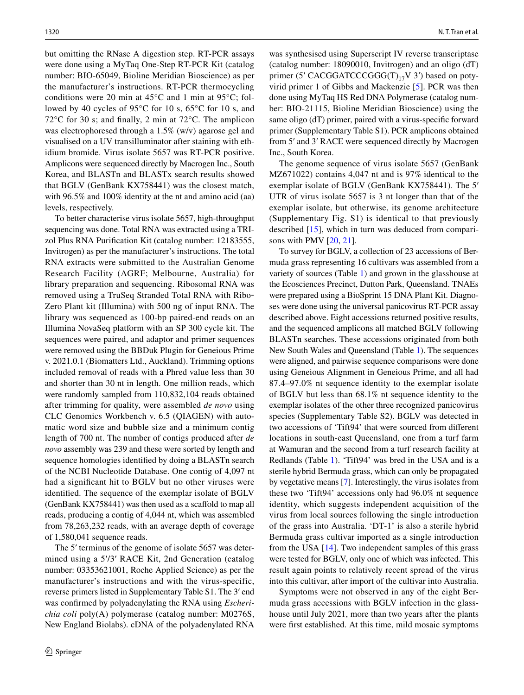but omitting the RNase A digestion step. RT-PCR assays were done using a MyTaq One-Step RT-PCR Kit (catalog number: BIO-65049, Bioline Meridian Bioscience) as per the manufacturer's instructions. RT-PCR thermocycling conditions were 20 min at 45°C and 1 min at 95°C; followed by 40 cycles of 95°C for 10 s, 65°C for 10 s, and 72°C for 30 s; and fnally, 2 min at 72°C. The amplicon was electrophoresed through a 1.5% (w/v) agarose gel and visualised on a UV transilluminator after staining with ethidium bromide. Virus isolate 5657 was RT-PCR positive. Amplicons were sequenced directly by Macrogen Inc., South Korea, and BLASTn and BLASTx search results showed that BGLV (GenBank KX758441) was the closest match, with 96.5% and 100% identity at the nt and amino acid (aa) levels, respectively.

To better characterise virus isolate 5657, high-throughput sequencing was done. Total RNA was extracted using a TRIzol Plus RNA Purifcation Kit (catalog number: 12183555, Invitrogen) as per the manufacturer's instructions. The total RNA extracts were submitted to the Australian Genome Research Facility (AGRF; Melbourne, Australia) for library preparation and sequencing. Ribosomal RNA was removed using a TruSeq Stranded Total RNA with Ribo‐ Zero Plant kit (Illumina) with 500 ng of input RNA. The library was sequenced as 100-bp paired-end reads on an Illumina NovaSeq platform with an SP 300 cycle kit. The sequences were paired, and adaptor and primer sequences were removed using the BBDuk Plugin for Geneious Prime v. 2021.0.1 (Biomatters Ltd., Auckland). Trimming options included removal of reads with a Phred value less than 30 and shorter than 30 nt in length. One million reads, which were randomly sampled from 110,832,104 reads obtained after trimming for quality, were assembled *de novo* using CLC Genomics Workbench v. 6.5 (QIAGEN) with automatic word size and bubble size and a minimum contig length of 700 nt. The number of contigs produced after *de novo* assembly was 239 and these were sorted by length and sequence homologies identifed by doing a BLASTn search of the NCBI Nucleotide Database. One contig of 4,097 nt had a signifcant hit to BGLV but no other viruses were identifed. The sequence of the exemplar isolate of BGLV (GenBank KX758441) was then used as a scafold to map all reads, producing a contig of 4,044 nt, which was assembled from 78,263,232 reads, with an average depth of coverage of 1,580,041 sequence reads.

The 5' terminus of the genome of isolate 5657 was determined using a 5ʹ/3ʹ RACE Kit, 2nd Generation (catalog number: 03353621001, Roche Applied Science) as per the manufacturer's instructions and with the virus-specific, reverse primers listed in Supplementary Table S1. The 3ʹ end was confrmed by polyadenylating the RNA using *Escherichia coli* poly(A) polymerase (catalog number: M0276S, New England Biolabs). cDNA of the polyadenylated RNA

was synthesised using Superscript IV reverse transcriptase (catalog number: 18090010, Invitrogen) and an oligo (dT) primer (5' CACGGATCCCGGG(T)<sub>17</sub>V 3') based on potyvirid primer 1 of Gibbs and Mackenzie [[5\]](#page-5-4). PCR was then done using MyTaq HS Red DNA Polymerase (catalog number: BIO-21115, Bioline Meridian Bioscience) using the same oligo (dT) primer, paired with a virus-specifc forward primer (Supplementary Table S1). PCR amplicons obtained from 5ʹ and 3ʹ RACE were sequenced directly by Macrogen Inc., South Korea.

The genome sequence of virus isolate 5657 (GenBank MZ671022) contains 4,047 nt and is 97% identical to the exemplar isolate of BGLV (GenBank KX758441). The 5ʹ UTR of virus isolate 5657 is 3 nt longer than that of the exemplar isolate, but otherwise, its genome architecture (Supplementary Fig. S1) is identical to that previously described [[15](#page-6-2)], which in turn was deduced from compari-sons with PMV [[20,](#page-6-7) [21\]](#page-6-8).

To survey for BGLV, a collection of 23 accessions of Bermuda grass representing 16 cultivars was assembled from a variety of sources (Table [1](#page-2-0)) and grown in the glasshouse at the Ecosciences Precinct, Dutton Park, Queensland. TNAEs were prepared using a BioSprint 15 DNA Plant Kit. Diagnoses were done using the universal panicovirus RT-PCR assay described above. Eight accessions returned positive results, and the sequenced amplicons all matched BGLV following BLASTn searches. These accessions originated from both New South Wales and Queensland (Table [1](#page-2-0)). The sequences were aligned, and pairwise sequence comparisons were done using Geneious Alignment in Geneious Prime, and all had 87.4–97.0% nt sequence identity to the exemplar isolate of BGLV but less than 68.1% nt sequence identity to the exemplar isolates of the other three recognized panicovirus species (Supplementary Table S2). BGLV was detected in two accessions of 'Tift94' that were sourced from diferent locations in south-east Queensland, one from a turf farm at Wamuran and the second from a turf research facility at Redlands (Table [1\)](#page-2-0). 'Tift94' was bred in the USA and is a sterile hybrid Bermuda grass, which can only be propagated by vegetative means [[7\]](#page-5-5). Interestingly, the virus isolates from these two 'Tift94' accessions only had 96.0% nt sequence identity, which suggests independent acquisition of the virus from local sources following the single introduction of the grass into Australia. 'DT-1' is also a sterile hybrid Bermuda grass cultivar imported as a single introduction from the USA [\[14](#page-6-9)]. Two independent samples of this grass were tested for BGLV, only one of which was infected. This result again points to relatively recent spread of the virus into this cultivar, after import of the cultivar into Australia.

Symptoms were not observed in any of the eight Bermuda grass accessions with BGLV infection in the glasshouse until July 2021, more than two years after the plants were frst established. At this time, mild mosaic symptoms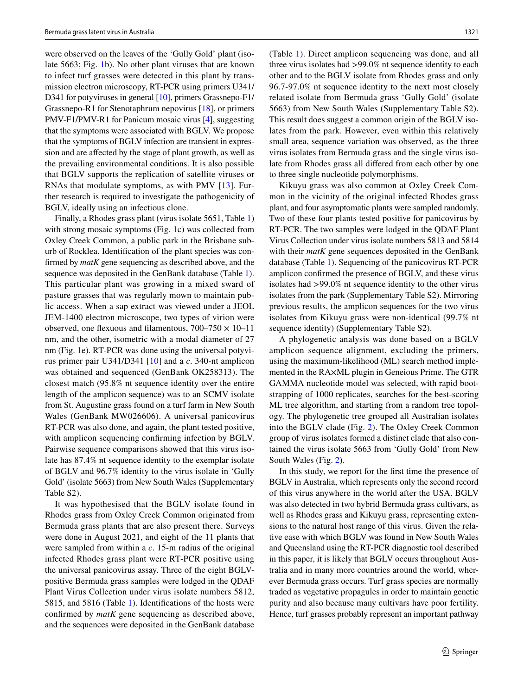were observed on the leaves of the 'Gully Gold' plant (isolate 5663; Fig. [1](#page-1-0)b). No other plant viruses that are known to infect turf grasses were detected in this plant by transmission electron microscopy, RT-PCR using primers U341/ D341 for potyviruses in general [[10\]](#page-6-10), primers Grassnepo-F1/ Grassnepo-R1 for Stenotaphrum nepovirus [\[18](#page-6-11)], or primers PMV-F1/PMV-R1 for Panicum mosaic virus [[4\]](#page-5-6), suggesting that the symptoms were associated with BGLV. We propose that the symptoms of BGLV infection are transient in expression and are afected by the stage of plant growth, as well as the prevailing environmental conditions. It is also possible that BGLV supports the replication of satellite viruses or RNAs that modulate symptoms, as with PMV [[13](#page-6-12)]. Further research is required to investigate the pathogenicity of BGLV, ideally using an infectious clone.

Finally, a Rhodes grass plant (virus isolate 5651, Table [1\)](#page-2-0) with strong mosaic symptoms (Fig. [1c](#page-1-0)) was collected from Oxley Creek Common, a public park in the Brisbane suburb of Rocklea. Identifcation of the plant species was confrmed by *matK* gene sequencing as described above, and the sequence was deposited in the GenBank database (Table [1](#page-2-0)). This particular plant was growing in a mixed sward of pasture grasses that was regularly mown to maintain public access. When a sap extract was viewed under a JEOL JEM-1400 electron microscope, two types of virion were observed, one flexuous and filamentous,  $700-750 \times 10-11$ nm, and the other, isometric with a modal diameter of 27 nm (Fig. [1e](#page-1-0)). RT-PCR was done using the universal potyvirus primer pair U341/D341 [\[10](#page-6-10)] and a *c*. 340-nt amplicon was obtained and sequenced (GenBank OK258313). The closest match (95.8% nt sequence identity over the entire length of the amplicon sequence) was to an SCMV isolate from St. Augustine grass found on a turf farm in New South Wales (GenBank MW026606). A universal panicovirus RT-PCR was also done, and again, the plant tested positive, with amplicon sequencing confrming infection by BGLV. Pairwise sequence comparisons showed that this virus isolate has 87.4% nt sequence identity to the exemplar isolate of BGLV and 96.7% identity to the virus isolate in 'Gully Gold' (isolate 5663) from New South Wales (Supplementary Table S2).

It was hypothesised that the BGLV isolate found in Rhodes grass from Oxley Creek Common originated from Bermuda grass plants that are also present there. Surveys were done in August 2021, and eight of the 11 plants that were sampled from within a *c*. 15-m radius of the original infected Rhodes grass plant were RT-PCR positive using the universal panicovirus assay. Three of the eight BGLVpositive Bermuda grass samples were lodged in the QDAF Plant Virus Collection under virus isolate numbers 5812, 5815, and 5816 (Table [1\)](#page-2-0). Identifcations of the hosts were confrmed by *matK* gene sequencing as described above, and the sequences were deposited in the GenBank database

(Table [1](#page-2-0)). Direct amplicon sequencing was done, and all three virus isolates had >99.0% nt sequence identity to each other and to the BGLV isolate from Rhodes grass and only 96.7-97.0% nt sequence identity to the next most closely related isolate from Bermuda grass 'Gully Gold' (isolate 5663) from New South Wales (Supplementary Table S2). This result does suggest a common origin of the BGLV isolates from the park. However, even within this relatively small area, sequence variation was observed, as the three virus isolates from Bermuda grass and the single virus isolate from Rhodes grass all difered from each other by one to three single nucleotide polymorphisms.

Kikuyu grass was also common at Oxley Creek Common in the vicinity of the original infected Rhodes grass plant, and four asymptomatic plants were sampled randomly. Two of these four plants tested positive for panicovirus by RT-PCR. The two samples were lodged in the QDAF Plant Virus Collection under virus isolate numbers 5813 and 5814 with their *matK* gene sequences deposited in the GenBank database (Table [1\)](#page-2-0). Sequencing of the panicovirus RT-PCR amplicon confrmed the presence of BGLV, and these virus isolates had >99.0% nt sequence identity to the other virus isolates from the park (Supplementary Table S2). Mirroring previous results, the amplicon sequences for the two virus isolates from Kikuyu grass were non-identical (99.7% nt sequence identity) (Supplementary Table S2).

A phylogenetic analysis was done based on a BGLV amplicon sequence alignment, excluding the primers, using the maximum-likelihood (ML) search method implemented in the RA×ML plugin in Geneious Prime. The GTR GAMMA nucleotide model was selected, with rapid bootstrapping of 1000 replicates, searches for the best-scoring ML tree algorithm, and starting from a random tree topology. The phylogenetic tree grouped all Australian isolates into the BGLV clade (Fig. [2](#page-5-7)). The Oxley Creek Common group of virus isolates formed a distinct clade that also contained the virus isolate 5663 from 'Gully Gold' from New South Wales (Fig. [2](#page-5-7)).

In this study, we report for the frst time the presence of BGLV in Australia, which represents only the second record of this virus anywhere in the world after the USA. BGLV was also detected in two hybrid Bermuda grass cultivars, as well as Rhodes grass and Kikuyu grass, representing extensions to the natural host range of this virus. Given the relative ease with which BGLV was found in New South Wales and Queensland using the RT-PCR diagnostic tool described in this paper, it is likely that BGLV occurs throughout Australia and in many more countries around the world, wherever Bermuda grass occurs. Turf grass species are normally traded as vegetative propagules in order to maintain genetic purity and also because many cultivars have poor fertility. Hence, turf grasses probably represent an important pathway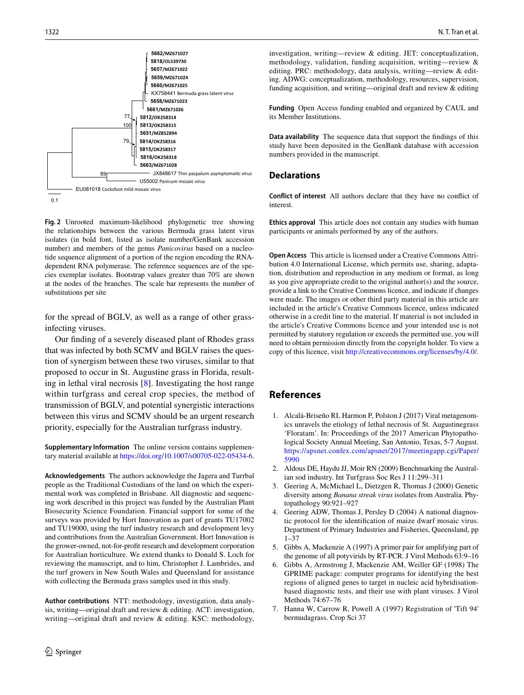

<span id="page-5-7"></span>**Fig. 2** Unrooted maximum-likelihood phylogenetic tree showing the relationships between the various Bermuda grass latent virus isolates (in bold font, listed as isolate number/GenBank accession number) and members of the genus *Panicovirus* based on a nucleotide sequence alignment of a portion of the region encoding the RNAdependent RNA polymerase. The reference sequences are of the species exemplar isolates. Bootstrap values greater than 70% are shown at the nodes of the branches. The scale bar represents the number of substitutions per site

for the spread of BGLV, as well as a range of other grassinfecting viruses.

Our fnding of a severely diseased plant of Rhodes grass that was infected by both SCMV and BGLV raises the question of synergism between these two viruses, similar to that proposed to occur in St. Augustine grass in Florida, resulting in lethal viral necrosis [\[8](#page-6-13)]. Investigating the host range within turfgrass and cereal crop species, the method of transmission of BGLV, and potential synergistic interactions between this virus and SCMV should be an urgent research priority, especially for the Australian turfgrass industry.

**Supplementary Information** The online version contains supplementary material available at<https://doi.org/10.1007/s00705-022-05434-6>.

**Acknowledgements** The authors acknowledge the Jagera and Turrbal people as the Traditional Custodians of the land on which the experimental work was completed in Brisbane. All diagnostic and sequencing work described in this project was funded by the Australian Plant Biosecurity Science Foundation. Financial support for some of the surveys was provided by Hort Innovation as part of grants TU17002 and TU19000, using the turf industry research and development levy and contributions from the Australian Government. Hort Innovation is the grower-owned, not-for-proft research and development corporation for Australian horticulture. We extend thanks to Donald S. Loch for reviewing the manuscript, and to him, Christopher J. Lambrides, and the turf growers in New South Wales and Queensland for assistance with collecting the Bermuda grass samples used in this study.

**Author contributions** NTT: methodology, investigation, data analysis, writing—original draft and review & editing. ACT: investigation, writing—original draft and review & editing. KSC: methodology,

investigation, writing—review & editing. JET: conceptualization, methodology, validation, funding acquisition, writing—review & editing. PRC: methodology, data analysis, writing—review & editing. ADWG: conceptualization, methodology, resources, supervision, funding acquisition, and writing—original draft and review & editing

**Funding** Open Access funding enabled and organized by CAUL and its Member Institutions.

**Data availability** The sequence data that support the fndings of this study have been deposited in the GenBank database with accession numbers provided in the manuscript.

### **Declarations**

**Conflict of interest** All authors declare that they have no confict of interest.

**Ethics approval** This article does not contain any studies with human participants or animals performed by any of the authors.

**Open Access** This article is licensed under a Creative Commons Attribution 4.0 International License, which permits use, sharing, adaptation, distribution and reproduction in any medium or format, as long as you give appropriate credit to the original author(s) and the source, provide a link to the Creative Commons licence, and indicate if changes were made. The images or other third party material in this article are included in the article's Creative Commons licence, unless indicated otherwise in a credit line to the material. If material is not included in the article's Creative Commons licence and your intended use is not permitted by statutory regulation or exceeds the permitted use, you will need to obtain permission directly from the copyright holder. To view a copy of this licence, visit<http://creativecommons.org/licenses/by/4.0/>.

# **References**

- <span id="page-5-1"></span>1. Alcalá-Briseño RI, Harmon P, Polston J (2017) Viral metagenomics unravels the etiology of lethal necrosis of St. Augustinegrass 'Floratam'. In: Proceedings of the 2017 American Phytopathological Society Annual Meeting, San Antonio, Texas, 5-7 August. [https://apsnet.confex.com/apsnet/2017/meetingapp.cgi/Paper/](https://apsnet.confex.com/apsnet/2017/meetingapp.cgi/Paper/5990) [5990](https://apsnet.confex.com/apsnet/2017/meetingapp.cgi/Paper/5990)
- <span id="page-5-0"></span>2. Aldous DE, Haydu JJ, Moir RN (2009) Benchmarking the Australian sod industry. Int Turfgrass Soc Res J 11:299–311
- <span id="page-5-2"></span>3. Geering A, McMichael L, Dietzgen R, Thomas J (2000) Genetic diversity among *Banana streak virus* isolates from Australia. Phytopathology 90:921–927
- <span id="page-5-6"></span>4. Geering ADW, Thomas J, Persley D (2004) A national diagnostic protocol for the identifcation of maize dwarf mosaic virus. Department of Primary Industries and Fisheries, Queensland, pp 1–37
- <span id="page-5-4"></span>5. Gibbs A, Mackenzie A (1997) A primer pair for amplifying part of the genome of all potyvirids by RT-PCR. J Virol Methods 63:9–16
- <span id="page-5-3"></span>6. Gibbs A, Armstrong J, Mackenzie AM, Weiller GF (1998) The GPRIME package: computer programs for identifying the best regions of aligned genes to target in nucleic acid hybridisationbased diagnostic tests, and their use with plant viruses. J Virol Methods 74:67–76
- <span id="page-5-5"></span>7. Hanna W, Carrow R, Powell A (1997) Registration of 'Tift 94' bermudagrass. Crop Sci 37